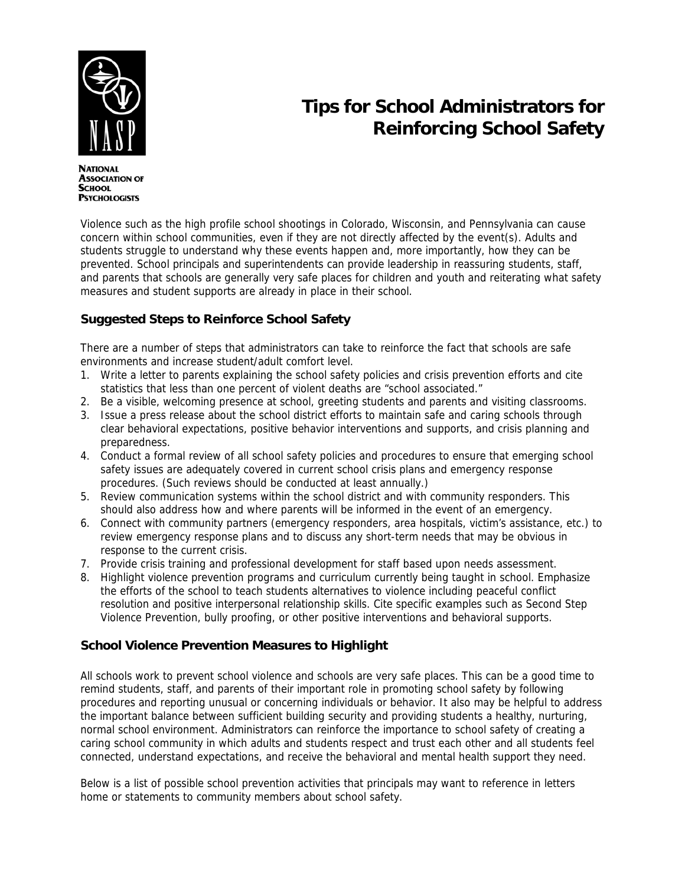

# **Tips for School Administrators for Reinforcing School Safety**

**NATIONAL ASSOCIATION OF SCHOOL PSYCHOLOGISTS** 

Violence such as the high profile school shootings in Colorado, Wisconsin, and Pennsylvania can cause concern within school communities, even if they are not directly affected by the event(s). Adults and students struggle to understand why these events happen and, more importantly, how they can be prevented. School principals and superintendents can provide leadership in reassuring students, staff, and parents that schools are generally very safe places for children and youth and reiterating what safety measures and student supports are already in place in their school.

## **Suggested Steps to Reinforce School Safety**

There are a number of steps that administrators can take to reinforce the fact that schools are safe environments and increase student/adult comfort level.

- 1. Write a letter to parents explaining the school safety policies and crisis prevention efforts and cite statistics that less than one percent of violent deaths are "school associated."
- 2. Be a visible, welcoming presence at school, greeting students and parents and visiting classrooms.
- 3. Issue a press release about the school district efforts to maintain safe and caring schools through clear behavioral expectations, positive behavior interventions and supports, and crisis planning and preparedness.
- 4. Conduct a formal review of all school safety policies and procedures to ensure that emerging school safety issues are adequately covered in current school crisis plans and emergency response procedures. (Such reviews should be conducted at least annually.)
- 5. Review communication systems within the school district and with community responders. This should also address how and where parents will be informed in the event of an emergency.
- 6. Connect with community partners (emergency responders, area hospitals, victim's assistance, etc.) to review emergency response plans and to discuss any short-term needs that may be obvious in response to the current crisis.
- 7. Provide crisis training and professional development for staff based upon needs assessment.
- 8. Highlight violence prevention programs and curriculum currently being taught in school. Emphasize the efforts of the school to teach students alternatives to violence including peaceful conflict resolution and positive interpersonal relationship skills. Cite specific examples such as Second Step Violence Prevention, bully proofing, or other positive interventions and behavioral supports.

### **School Violence Prevention Measures to Highlight**

All schools work to prevent school violence and schools are very safe places. This can be a good time to remind students, staff, and parents of their important role in promoting school safety by following procedures and reporting unusual or concerning individuals or behavior. It also may be helpful to address the important balance between sufficient building security and providing students a healthy, nurturing, normal school environment. Administrators can reinforce the importance to school safety of creating a caring school community in which adults and students respect and trust each other and all students feel connected, understand expectations, and receive the behavioral and mental health support they need.

Below is a list of possible school prevention activities that principals may want to reference in letters home or statements to community members about school safety.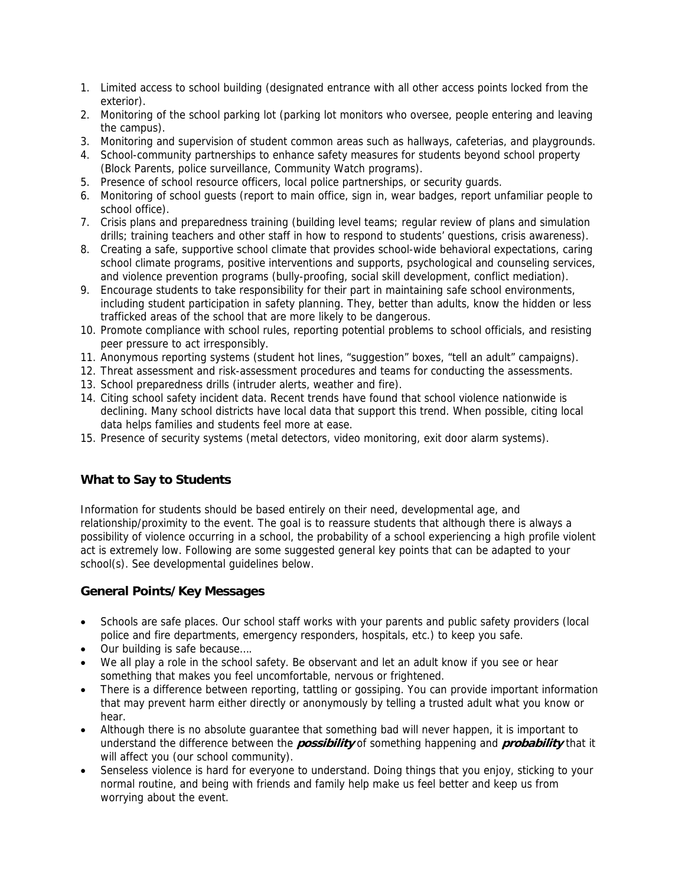- 1. Limited access to school building (designated entrance with all other access points locked from the exterior).
- 2. Monitoring of the school parking lot (parking lot monitors who oversee, people entering and leaving the campus).
- 3. Monitoring and supervision of student common areas such as hallways, cafeterias, and playgrounds.
- 4. School-community partnerships to enhance safety measures for students beyond school property (Block Parents, police surveillance, Community Watch programs).
- 5. Presence of school resource officers, local police partnerships, or security guards.
- 6. Monitoring of school guests (report to main office, sign in, wear badges, report unfamiliar people to school office).
- 7. Crisis plans and preparedness training (building level teams; regular review of plans and simulation drills; training teachers and other staff in how to respond to students' questions, crisis awareness).
- 8. Creating a safe, supportive school climate that provides school-wide behavioral expectations, caring school climate programs, positive interventions and supports, psychological and counseling services, and violence prevention programs (bully-proofing, social skill development, conflict mediation).
- 9. Encourage students to take responsibility for their part in maintaining safe school environments, including student participation in safety planning. They, better than adults, know the hidden or less trafficked areas of the school that are more likely to be dangerous.
- 10. Promote compliance with school rules, reporting potential problems to school officials, and resisting peer pressure to act irresponsibly.
- 11. Anonymous reporting systems (student hot lines, "suggestion" boxes, "tell an adult" campaigns).
- 12. Threat assessment and risk-assessment procedures and teams for conducting the assessments.
- 13. School preparedness drills (intruder alerts, weather and fire).
- 14. Citing school safety incident data. Recent trends have found that school violence nationwide is declining. Many school districts have local data that support this trend. When possible, citing local data helps families and students feel more at ease.
- 15. Presence of security systems (metal detectors, video monitoring, exit door alarm systems).

## **What to Say to Students**

Information for students should be based entirely on their need, developmental age, and relationship/proximity to the event. The goal is to reassure students that although there is always a possibility of violence occurring in a school, the probability of a school experiencing a high profile violent act is extremely low. Following are some suggested general key points that can be adapted to your school(s). See developmental guidelines below.

### **General Points/Key Messages**

- Schools are safe places. Our school staff works with your parents and public safety providers (local police and fire departments, emergency responders, hospitals, etc.) to keep you safe.
- Our building is safe because….
- We all play a role in the school safety. Be observant and let an adult know if you see or hear something that makes you feel uncomfortable, nervous or frightened.
- There is a difference between reporting, tattling or gossiping. You can provide important information that may prevent harm either directly or anonymously by telling a trusted adult what you know or hear.
- Although there is no absolute guarantee that something bad will never happen, it is important to understand the difference between the **possibility** of something happening and **probability** that it will affect you (our school community).
- Senseless violence is hard for everyone to understand. Doing things that you enjoy, sticking to your normal routine, and being with friends and family help make us feel better and keep us from worrying about the event.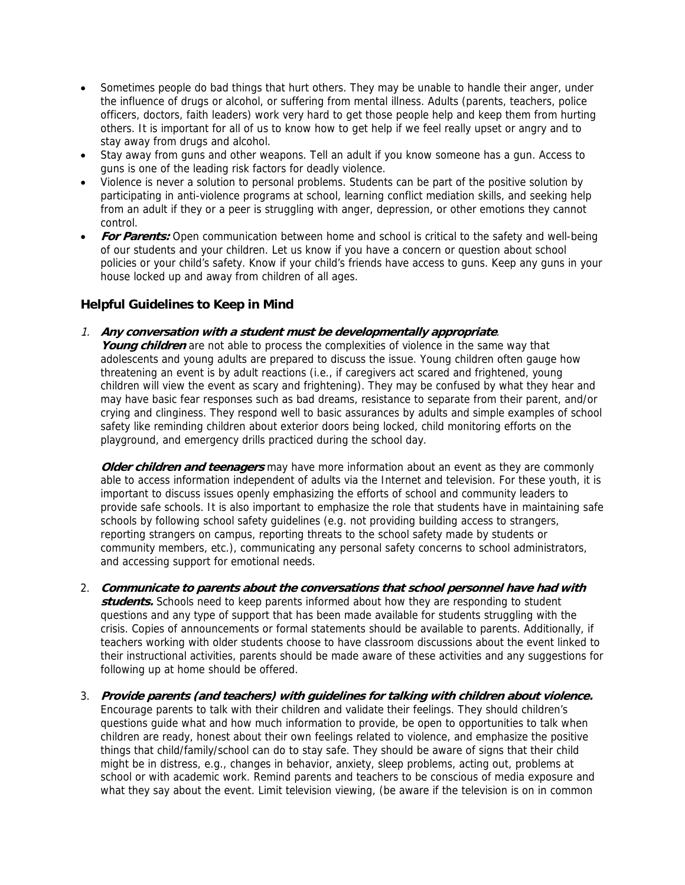- Sometimes people do bad things that hurt others. They may be unable to handle their anger, under the influence of drugs or alcohol, or suffering from mental illness. Adults (parents, teachers, police officers, doctors, faith leaders) work very hard to get those people help and keep them from hurting others. It is important for all of us to know how to get help if we feel really upset or angry and to stay away from drugs and alcohol.
- Stay away from guns and other weapons. Tell an adult if you know someone has a gun. Access to guns is one of the leading risk factors for deadly violence.
- Violence is never a solution to personal problems. Students can be part of the positive solution by participating in anti-violence programs at school, learning conflict mediation skills, and seeking help from an adult if they or a peer is struggling with anger, depression, or other emotions they cannot control.
- **For Parents:** Open communication between home and school is critical to the safety and well-being of our students and your children. Let us know if you have a concern or question about school policies or your child's safety. Know if your child's friends have access to guns. Keep any guns in your house locked up and away from children of all ages.

#### **Helpful Guidelines to Keep in Mind**

1. **Any conversation with a student must be developmentally appropriate**.

**Young children** are not able to process the complexities of violence in the same way that adolescents and young adults are prepared to discuss the issue. Young children often gauge how threatening an event is by adult reactions (i.e., if caregivers act scared and frightened, young children will view the event as scary and frightening). They may be confused by what they hear and may have basic fear responses such as bad dreams, resistance to separate from their parent, and/or crying and clinginess. They respond well to basic assurances by adults and simple examples of school safety like reminding children about exterior doors being locked, child monitoring efforts on the playground, and emergency drills practiced during the school day.

**Older children and teenagers** may have more information about an event as they are commonly able to access information independent of adults via the Internet and television. For these youth, it is important to discuss issues openly emphasizing the efforts of school and community leaders to provide safe schools. It is also important to emphasize the role that students have in maintaining safe schools by following school safety guidelines (e.g. not providing building access to strangers, reporting strangers on campus, reporting threats to the school safety made by students or community members, etc.), communicating any personal safety concerns to school administrators, and accessing support for emotional needs.

- 2. **Communicate to parents about the conversations that school personnel have had with students.** Schools need to keep parents informed about how they are responding to student questions and any type of support that has been made available for students struggling with the crisis. Copies of announcements or formal statements should be available to parents. Additionally, if teachers working with older students choose to have classroom discussions about the event linked to their instructional activities, parents should be made aware of these activities and any suggestions for following up at home should be offered.
- 3. **Provide parents (and teachers) with guidelines for talking with children about violence.**  Encourage parents to talk with their children and validate their feelings. They should children's questions guide what and how much information to provide, be open to opportunities to talk when children are ready, honest about their own feelings related to violence, and emphasize the positive things that child/family/school can do to stay safe. They should be aware of signs that their child might be in distress, e.g., changes in behavior, anxiety, sleep problems, acting out, problems at school or with academic work. Remind parents and teachers to be conscious of media exposure and what they say about the event. Limit television viewing, (be aware if the television is on in common